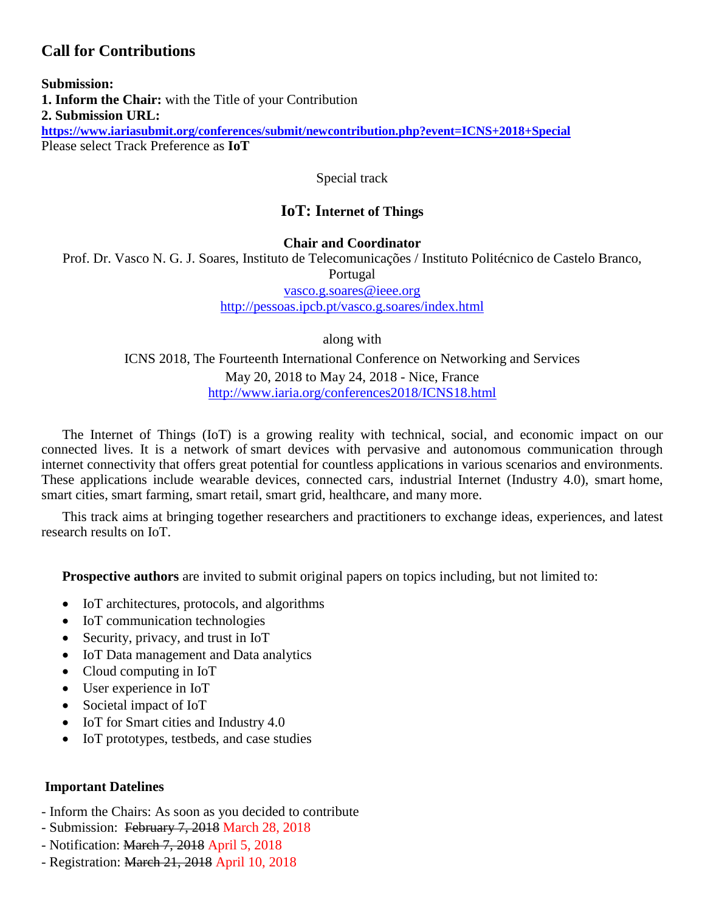# **Call for Contributions**

**Submission: 1. Inform the Chair:** with the Title of your Contribution **2. Submission URL: <https://www.iariasubmit.org/conferences/submit/newcontribution.php?event=ICNS+2018+Special>** Please select Track Preference as **IoT**

Special track

# **IoT: Internet of Things**

#### **Chair and Coordinator**

Prof. Dr. Vasco N. G. J. Soares, Instituto de Telecomunicações / Instituto Politécnico de Castelo Branco,

Portugal

[vasco.g.soares@ieee.org](mailto:vasco.g.soares@ieee.org)

<http://pessoas.ipcb.pt/vasco.g.soares/index.html>

along with

ICNS 2018, The Fourteenth International Conference on Networking and Services May 20, 2018 to May 24, 2018 - Nice, France <http://www.iaria.org/conferences2018/ICNS18.html>

The Internet of Things (IoT) is a growing reality with technical, social, and economic impact on our connected lives. It is a network of smart devices with pervasive and autonomous communication through internet connectivity that offers great potential for countless applications in various scenarios and environments. These applications include wearable devices, connected cars, industrial Internet (Industry 4.0), smart home, smart cities, smart farming, smart retail, smart grid, healthcare, and many more.

This track aims at bringing together researchers and practitioners to exchange ideas, experiences, and latest research results on IoT.

**Prospective authors** are invited to submit original papers on topics including, but not limited to:

- IoT architectures, protocols, and algorithms
- IoT communication technologies
- Security, privacy, and trust in IoT
- IoT Data management and Data analytics
- Cloud computing in IoT
- User experience in IoT
- Societal impact of IoT
- IoT for Smart cities and Industry 4.0
- IoT prototypes, testbeds, and case studies

#### **Important Datelines**

- Inform the Chairs: As soon as you decided to contribute
- Submission: February 7, 2018 March 28, 2018
- Notification: March 7, 2018 April 5, 2018
- Registration: March 21, 2018 April 10, 2018